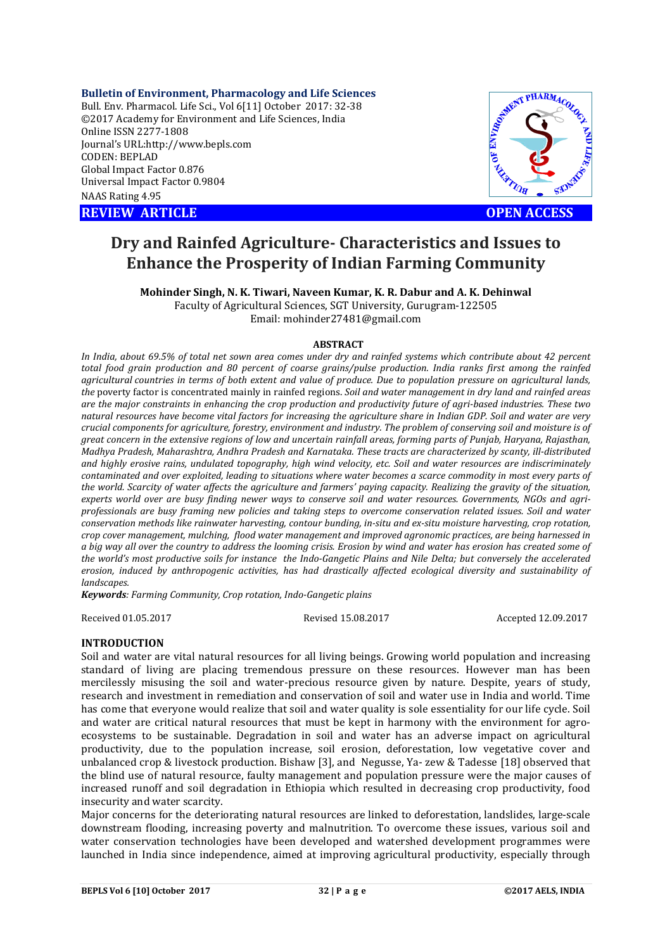**Bulletin of Environment, Pharmacology and Life Sciences** Bull. Env. Pharmacol. Life Sci., Vol 6[11] October 2017: 32-38 ©2017 Academy for Environment and Life Sciences, India Online ISSN 2277-1808 Journal's URL:http://www.bepls.com CODEN: BEPLAD Global Impact Factor 0.876 Universal Impact Factor 0.9804 NAAS Rating 4.95

**REVIEW ARTICLE CONSUMING A REVIEW ARTICLE** 



# **Dry and Rainfed Agriculture- Characteristics and Issues to Enhance the Prosperity of Indian Farming Community**

**Mohinder Singh, N. K. Tiwari, Naveen Kumar, K. R. Dabur and A. K. Dehinwal**  Faculty of Agricultural Sciences, SGT University, Gurugram-122505 Email: mohinder27481@gmail.com

#### **ABSTRACT**

*In India, about 69.5% of total net sown area comes under dry and rainfed systems which contribute about 42 percent*  total food grain production and 80 percent of coarse grains/pulse production. India ranks first among the rainfed *agricultural countries in terms of both extent and value of produce. Due to population pressure on agricultural lands, the* poverty factor is concentrated mainly in rainfed regions. *Soil and water management in dry land and rainfed areas are the major constraints in enhancing the crop production and productivity future of agri-based industries. These two natural resources have become vital factors for increasing the agriculture share in Indian GDP. Soil and water are very crucial components for agriculture, forestry, environment and industry. The problem of conserving soil and moisture is of great concern in the extensive regions of low and uncertain rainfall areas, forming parts of Punjab, Haryana, Rajasthan, Madhya Pradesh, Maharashtra, Andhra Pradesh and Karnataka. These tracts are characterized by scanty, ill-distributed and highly erosive rains, undulated topography, high wind velocity, etc. Soil and water resources are indiscriminately contaminated and over exploited, leading to situations where water becomes a scarce commodity in most every parts of the world. Scarcity of water affects the agriculture and farmers' paying capacity. Realizing the gravity of the situation, experts world over are busy finding newer ways to conserve soil and water resources. Governments, NGOs and agriprofessionals are busy framing new policies and taking steps to overcome conservation related issues. Soil and water conservation methods like rainwater harvesting, contour bunding, in-situ and ex-situ moisture harvesting, crop rotation, crop cover management, mulching, flood water management and improved agronomic practices, are being harnessed in a big way all over the country to address the looming crisis. Erosion by wind and water has erosion has created some of the world's most productive soils for instance the Indo-Gangetic Plains and Nile Delta; but conversely the accelerated erosion, induced by anthropogenic activities, has had drastically affected ecological diversity and sustainability of landscapes.* 

*Keywords: Farming Community, Crop rotation, Indo-Gangetic plains*

Received 01.05.2017 Revised 15.08.2017 Accepted 12.09.2017

#### **INTRODUCTION**

Soil and water are vital natural resources for all living beings. Growing world population and increasing standard of living are placing tremendous pressure on these resources. However man has been mercilessly misusing the soil and water-precious resource given by nature. Despite, years of study, research and investment in remediation and conservation of soil and water use in India and world. Time has come that everyone would realize that soil and water quality is sole essentiality for our life cycle. Soil and water are critical natural resources that must be kept in harmony with the environment for agroecosystems to be sustainable. Degradation in soil and water has an adverse impact on agricultural productivity, due to the population increase, soil erosion, deforestation, low vegetative cover and unbalanced crop & livestock production. Bishaw [3], and Negusse, Ya- zew & Tadesse [18] observed that the blind use of natural resource, faulty management and population pressure were the major causes of increased runoff and soil degradation in Ethiopia which resulted in decreasing crop productivity, food insecurity and water scarcity.

Major concerns for the deteriorating natural resources are linked to deforestation, landslides, large-scale downstream flooding, increasing poverty and malnutrition. To overcome these issues, various soil and water conservation technologies have been developed and watershed development programmes were launched in India since independence, aimed at improving agricultural productivity, especially through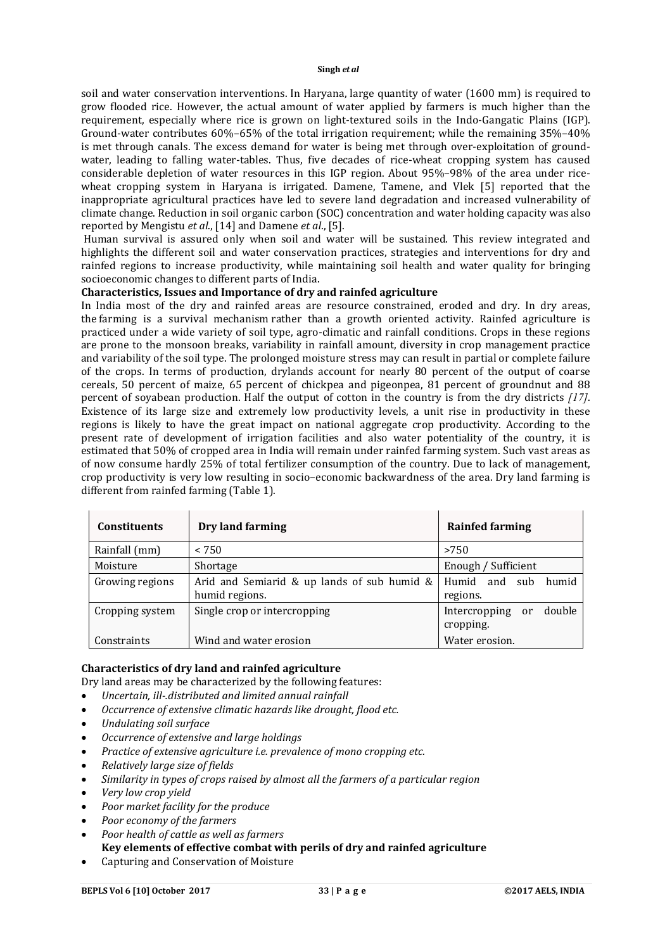soil and water conservation interventions. In Haryana, large quantity of water (1600 mm) is required to grow flooded rice. However, the actual amount of water applied by farmers is much higher than the requirement, especially where rice is grown on light-textured soils in the Indo-Gangatic Plains (IGP). Ground-water contributes 60%–65% of the total irrigation requirement; while the remaining 35%–40% is met through canals. The excess demand for water is being met through over-exploitation of groundwater, leading to falling water-tables. Thus, five decades of rice-wheat cropping system has caused considerable depletion of water resources in this IGP region. About 95%–98% of the area under ricewheat cropping system in Haryana is irrigated. Damene, Tamene, and Vlek [5] reported that the inappropriate agricultural practices have led to severe land degradation and increased vulnerability of climate change. Reduction in soil organic carbon (SOC) concentration and water holding capacity was also reported by Mengistu *et al*., [14] and Damene *et al*., [5].

Human survival is assured only when soil and water will be sustained. This review integrated and highlights the different soil and water conservation practices, strategies and interventions for dry and rainfed regions to increase productivity, while maintaining soil health and water quality for bringing socioeconomic changes to different parts of India.

# **Characteristics, Issues and Importance of dry and rainfed agriculture**

In India most of the dry and rainfed areas are resource constrained, eroded and dry. In dry areas, the farming is a survival mechanism rather than a growth oriented activity. Rainfed agriculture is practiced under a wide variety of soil type, agro-climatic and rainfall conditions. Crops in these regions are prone to the monsoon breaks, variability in rainfall amount, diversity in crop management practice and variability of the soil type. The prolonged moisture stress may can result in partial or complete failure of the crops. In terms of production, drylands account for nearly 80 percent of the output of coarse cereals, 50 percent of maize, 65 percent of chickpea and pigeonpea, 81 percent of groundnut and 88 percent of soyabean production. Half the output of cotton in the country is from the dry districts *[17]*. Existence of its large size and extremely low productivity levels, a unit rise in productivity in these regions is likely to have the great impact on national aggregate crop productivity. According to the present rate of development of irrigation facilities and also water potentiality of the country, it is estimated that 50% of cropped area in India will remain under rainfed farming system. Such vast areas as of now consume hardly 25% of total fertilizer consumption of the country. Due to lack of management, crop productivity is very low resulting in socio–economic backwardness of the area. Dry land farming is different from rainfed farming (Table 1).

| <b>Constituents</b> | Dry land farming                                              | <b>Rainfed farming</b>                     |
|---------------------|---------------------------------------------------------------|--------------------------------------------|
| Rainfall (mm)       | < 750                                                         | >750                                       |
| Moisture            | Shortage                                                      | Enough / Sufficient                        |
| Growing regions     | Arid and Semiarid & up lands of sub humid &<br>humid regions. | Humid<br>and sub<br>humid<br>regions.      |
| Cropping system     | Single crop or intercropping                                  | double<br>Intercropping<br>or<br>cropping. |
| Constraints         | Wind and water erosion                                        | Water erosion.                             |

### **Characteristics of dry land and rainfed agriculture**

Dry land areas may be characterized by the following features:

- *Uncertain, ill-.distributed and limited annual rainfall*
- *Occurrence of extensive climatic hazards like drought, flood etc.*
- *Undulating soil surface*
- *Occurrence of extensive and large holdings*
- *Practice of extensive agriculture i.e. prevalence of mono cropping etc.*
- *Relatively large size of fields*
- *Similarity in types of crops raised by almost all the farmers of a particular region*
- *Very low crop yield*
- *Poor market facility for the produce*
- *Poor economy of the farmers*
- *Poor health of cattle as well as farmers*
- **Key elements of effective combat with perils of dry and rainfed agriculture**
- Capturing and Conservation of Moisture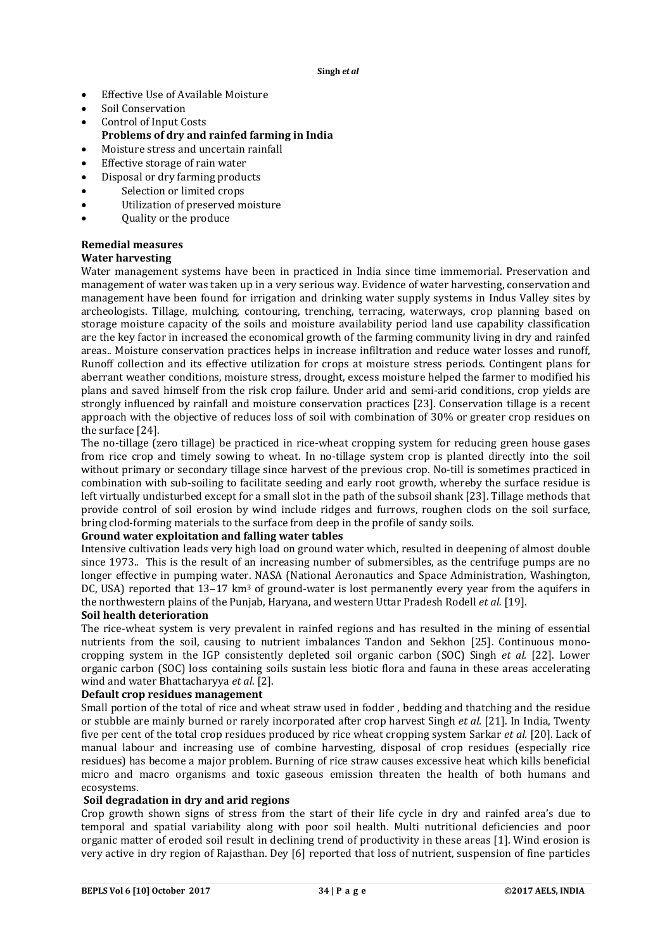- Effective Use of Available Moisture
- Soil Conservation
- Control of Input Costs
- **Problems of dry and rainfed farming in India**
- Moisture stress and uncertain rainfall
- Effective storage of rain water
- Disposal or dry farming products
- Selection or limited crops
- Utilization of preserved moisture
- Quality or the produce

# **Remedial measures**

### **Water harvesting**

Water management systems have been in practiced in India since time immemorial. Preservation and management of water was taken up in a very serious way. Evidence of water harvesting, conservation and management have been found for irrigation and drinking water supply systems in Indus Valley sites by archeologists. Tillage, mulching, contouring, trenching, terracing, waterways, crop planning based on storage moisture capacity of the soils and moisture availability period land use capability classification are the key factor in increased the economical growth of the farming community living in dry and rainfed areas.. Moisture conservation practices helps in increase infiltration and reduce water losses and runoff, Runoff collection and its effective utilization for crops at moisture stress periods. Contingent plans for aberrant weather conditions, moisture stress, drought, excess moisture helped the farmer to modified his plans and saved himself from the risk crop failure. Under arid and semi-arid conditions, crop yields are strongly influenced by rainfall and moisture conservation practices [23]. Conservation tillage is a recent approach with the objective of reduces loss of soil with combination of 30% or greater crop residues on the surface [24].

The no-tillage (zero tillage) be practiced in rice-wheat cropping system for reducing green house gases from rice crop and timely sowing to wheat. In no-tillage system crop is planted directly into the soil without primary or secondary tillage since harvest of the previous crop. No-till is sometimes practiced in combination with sub-soiling to facilitate seeding and early root growth, whereby the surface residue is left virtually undisturbed except for a small slot in the path of the subsoil shank [23]. Tillage methods that provide control of soil erosion by wind include ridges and furrows, roughen clods on the soil surface, bring clod-forming materials to the surface from deep in the profile of sandy soils.

### **Ground water exploitation and falling water tables**

Intensive cultivation leads very high load on ground water which, resulted in deepening of almost double since 1973.. This is the result of an increasing number of submersibles, as the centrifuge pumps are no longer effective in pumping water. NASA (National Aeronautics and Space Administration, Washington, DC, USA) reported that 13–17 km<sup>3</sup> of ground-water is lost permanently every year from the aquifers in the northwestern plains of the Punjab, Haryana, and western Uttar Pradesh Rodell *et al.* [19].

# **Soil health deterioration**

The rice-wheat system is very prevalent in rainfed regions and has resulted in the mining of essential nutrients from the soil, causing to nutrient imbalances Tandon and Sekhon [25]. Continuous monocropping system in the IGP consistently depleted soil organic carbon (SOC) Singh *et al.* [22]. Lower organic carbon (SOC) loss containing soils sustain less biotic flora and fauna in these areas accelerating wind and water Bhattacharyya *et al*. [2].

### **Default crop residues management**

Small portion of the total of rice and wheat straw used in fodder , bedding and thatching and the residue or stubble are mainly burned or rarely incorporated after crop harvest Singh *et al.* [21]. In India, Twenty five per cent of the total crop residues produced by rice wheat cropping system Sarkar *et al.* [20]. Lack of manual labour and increasing use of combine harvesting, disposal of crop residues (especially rice residues) has become a major problem. Burning of rice straw causes excessive heat which kills beneficial micro and macro organisms and toxic gaseous emission threaten the health of both humans and ecosystems.

### **Soil degradation in dry and arid regions**

Crop growth shown signs of stress from the start of their life cycle in dry and rainfed area's due to temporal and spatial variability along with poor soil health. Multi nutritional deficiencies and poor organic matter of eroded soil result in declining trend of productivity in these areas [1]. Wind erosion is very active in dry region of Rajasthan. Dey [6] reported that loss of nutrient, suspension of fine particles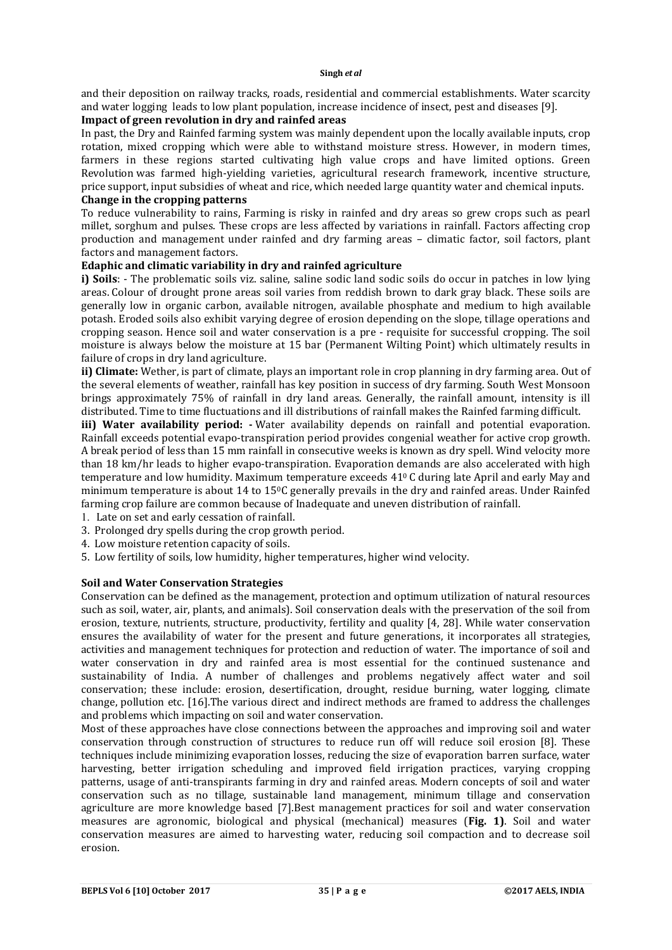and their deposition on railway tracks, roads, residential and commercial establishments. Water scarcity and water logging leads to low plant population, increase incidence of insect, pest and diseases [9].

# **Impact of green revolution in dry and rainfed areas**

In past, the Dry and Rainfed farming system was mainly dependent upon the locally available inputs, crop rotation, mixed cropping which were able to withstand moisture stress. However, in modern times, farmers in these regions started cultivating high value crops and have limited options. Green Revolution was farmed high-yielding varieties, agricultural research framework, incentive structure, price support, input subsidies of wheat and rice, which needed large quantity water and chemical inputs. **Change in the cropping patterns**

To reduce vulnerability to rains, Farming is risky in rainfed and dry areas so grew crops such as pearl millet, sorghum and pulses. These crops are less affected by variations in rainfall. Factors affecting crop production and management under rainfed and dry farming areas – climatic factor, soil factors, plant factors and management factors.

### **Edaphic and climatic variability in dry and rainfed agriculture**

**i) Soils**: - The problematic soils viz. saline, saline sodic land sodic soils do occur in patches in low lying areas. Colour of drought prone areas soil varies from reddish brown to dark gray black. These soils are generally low in organic carbon, available nitrogen, available phosphate and medium to high available potash. Eroded soils also exhibit varying degree of erosion depending on the slope, tillage operations and cropping season. Hence soil and water conservation is a pre - requisite for successful cropping. The soil moisture is always below the moisture at 15 bar (Permanent Wilting Point) which ultimately results in failure of crops in dry land agriculture.

**ii) Climate:** Wether, is part of climate, plays an important role in crop planning in dry farming area. Out of the several elements of weather, rainfall has key position in success of dry farming. South West Monsoon brings approximately 75% of rainfall in dry land areas. Generally, the rainfall amount, intensity is ill distributed. Time to time fluctuations and ill distributions of rainfall makes the Rainfed farming difficult.

**iii) Water availability period: -** Water availability depends on rainfall and potential evaporation. Rainfall exceeds potential evapo-transpiration period provides congenial weather for active crop growth. A break period of less than 15 mm rainfall in consecutive weeks is known as dry spell. Wind velocity more than 18 km/hr leads to higher evapo-transpiration. Evaporation demands are also accelerated with high temperature and low humidity. Maximum temperature exceeds 410 C during late April and early May and minimum temperature is about 14 to 150C generally prevails in the dry and rainfed areas. Under Rainfed farming crop failure are common because of Inadequate and uneven distribution of rainfall.

1. Late on set and early cessation of rainfall.

- 3. Prolonged dry spells during the crop growth period.
- 4. Low moisture retention capacity of soils.
- 5. Low fertility of soils, low humidity, higher temperatures, higher wind velocity.

### **Soil and Water Conservation Strategies**

Conservation can be defined as the management, protection and optimum utilization of natural resources such as soil, water, air, plants, and animals). Soil conservation deals with the preservation of the soil from erosion, texture, nutrients, structure, productivity, fertility and quality [4, 28]. While water conservation ensures the availability of water for the present and future generations, it incorporates all strategies, activities and management techniques for protection and reduction of water. The importance of soil and water conservation in dry and rainfed area is most essential for the continued sustenance and sustainability of India. A number of challenges and problems negatively affect water and soil conservation; these include: erosion, desertification, drought, residue burning, water logging, climate change, pollution etc. [16].The various direct and indirect methods are framed to address the challenges and problems which impacting on soil and water conservation.

Most of these approaches have close connections between the approaches and improving soil and water conservation through construction of structures to reduce run off will reduce soil erosion [8]. These techniques include minimizing evaporation losses, reducing the size of evaporation barren surface, water harvesting, better irrigation scheduling and improved field irrigation practices, varying cropping patterns, usage of anti-transpirants farming in dry and rainfed areas. Modern concepts of soil and water conservation such as no tillage, sustainable land management, minimum tillage and conservation agriculture are more knowledge based [7].Best management practices for soil and water conservation measures are agronomic, biological and physical (mechanical) measures (**Fig. 1)**. Soil and water conservation measures are aimed to harvesting water, reducing soil compaction and to decrease soil erosion.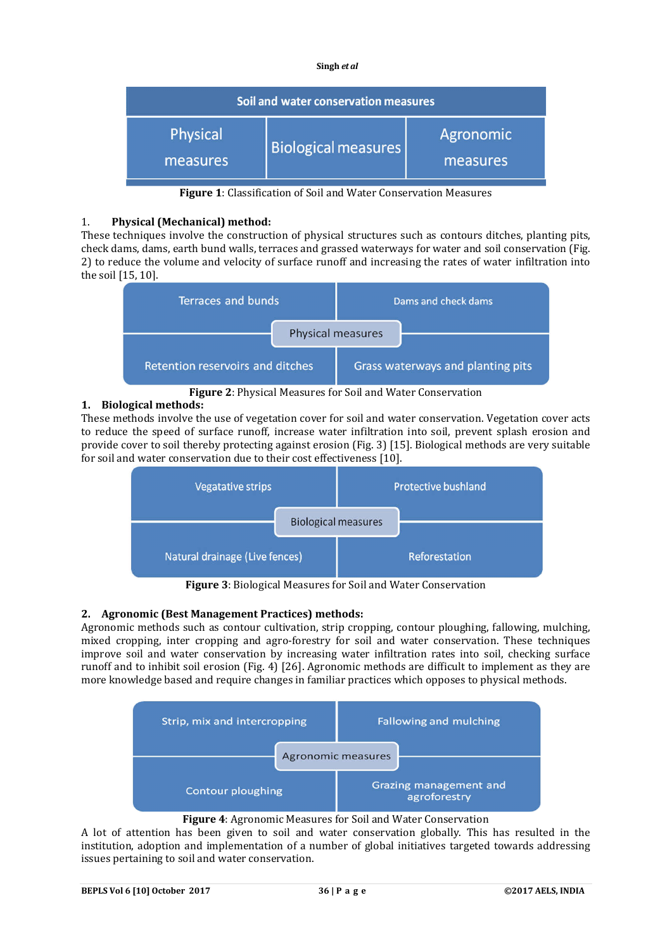| Soil and water conservation measures |                            |                       |  |
|--------------------------------------|----------------------------|-----------------------|--|
| Physical<br>measures                 | <b>Biological measures</b> | Agronomic<br>measures |  |

**Figure 1**: Classification of Soil and Water Conservation Measures

### 1. **Physical (Mechanical) method:**

These techniques involve the construction of physical structures such as contours ditches, planting pits, check dams, dams, earth bund walls, terraces and grassed waterways for water and soil conservation (Fig. 2) to reduce the volume and velocity of surface runoff and increasing the rates of water infiltration into the soil [15, 10].



**Figure 2**: Physical Measures for Soil and Water Conservation

# **1. Biological methods:**

These methods involve the use of vegetation cover for soil and water conservation. Vegetation cover acts to reduce the speed of surface runoff, increase water infiltration into soil, prevent splash erosion and provide cover to soil thereby protecting against erosion (Fig. 3) [15]. Biological methods are very suitable for soil and water conservation due to their cost effectiveness [10].



**Figure 3**: Biological Measures for Soil and Water Conservation

# **2. Agronomic (Best Management Practices) methods:**

Agronomic methods such as contour cultivation, strip cropping, contour ploughing, fallowing, mulching, mixed cropping, inter cropping and agro-forestry for soil and water conservation. These techniques improve soil and water conservation by increasing water infiltration rates into soil, checking surface runoff and to inhibit soil erosion (Fig. 4) [26]. Agronomic methods are difficult to implement as they are more knowledge based and require changes in familiar practices which opposes to physical methods.



## **Figure 4**: Agronomic Measures for Soil and Water Conservation

A lot of attention has been given to soil and water conservation globally. This has resulted in the institution, adoption and implementation of a number of global initiatives targeted towards addressing issues pertaining to soil and water conservation.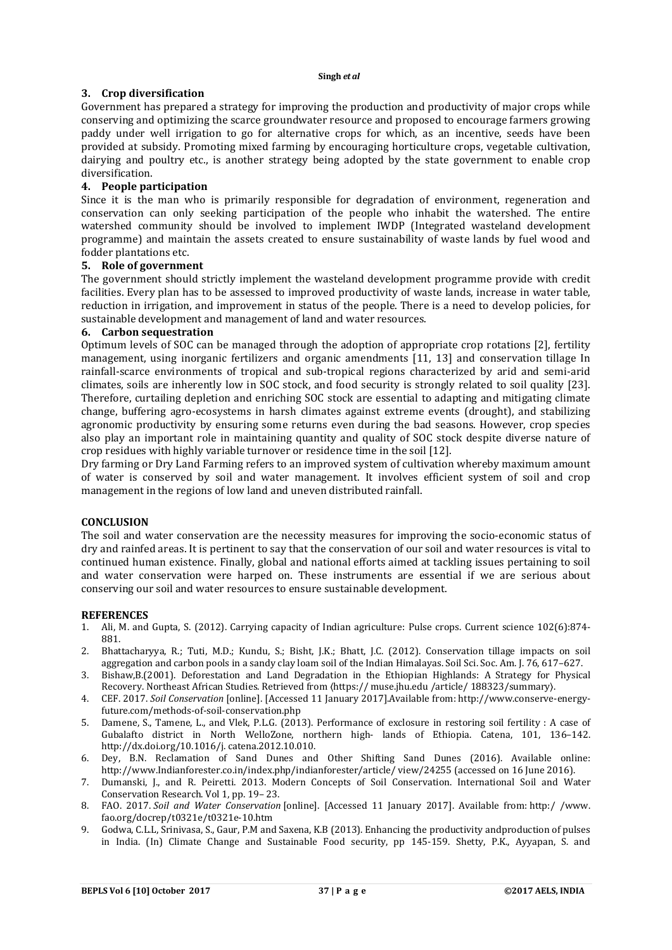## **3. Crop diversification**

Government has prepared a strategy for improving the production and productivity of major crops while conserving and optimizing the scarce groundwater resource and proposed to encourage farmers growing paddy under well irrigation to go for alternative crops for which, as an incentive, seeds have been provided at subsidy. Promoting mixed farming by encouraging horticulture crops, vegetable cultivation, dairying and poultry etc., is another strategy being adopted by the state government to enable crop diversification.

# **4. People participation**

Since it is the man who is primarily responsible for degradation of environment, regeneration and conservation can only seeking participation of the people who inhabit the watershed. The entire watershed community should be involved to implement IWDP (Integrated wasteland development programme) and maintain the assets created to ensure sustainability of waste lands by fuel wood and fodder plantations etc.

### **5. Role of government**

The government should strictly implement the wasteland development programme provide with credit facilities. Every plan has to be assessed to improved productivity of waste lands, increase in water table, reduction in irrigation, and improvement in status of the people. There is a need to develop policies, for sustainable development and management of land and water resources.

### **6. Carbon sequestration**

Optimum levels of SOC can be managed through the adoption of appropriate crop rotations [2], fertility management, using inorganic fertilizers and organic amendments [11, 13] and conservation tillage In rainfall-scarce environments of tropical and sub-tropical regions characterized by arid and semi-arid climates, soils are inherently low in SOC stock, and food security is strongly related to soil quality [23]. Therefore, curtailing depletion and enriching SOC stock are essential to adapting and mitigating climate change, buffering agro-ecosystems in harsh climates against extreme events (drought), and stabilizing agronomic productivity by ensuring some returns even during the bad seasons. However, crop species also play an important role in maintaining quantity and quality of SOC stock despite diverse nature of crop residues with highly variable turnover or residence time in the soil [12].

Dry farming or Dry Land Farming refers to an improved system of cultivation whereby maximum amount of water is conserved by soil and water management. It involves efficient system of soil and crop management in the regions of low land and uneven distributed rainfall.

### **CONCLUSION**

The soil and water conservation are the necessity measures for improving the socio-economic status of dry and rainfed areas. It is pertinent to say that the conservation of our soil and water resources is vital to continued human existence. Finally, global and national efforts aimed at tackling issues pertaining to soil and water conservation were harped on. These instruments are essential if we are serious about conserving our soil and water resources to ensure sustainable development.

### **REFERENCES**

- 1. Ali, M. and Gupta, S. (2012). Carrying capacity of Indian agriculture: Pulse crops. Current science 102(6):874- 881.
- 2. Bhattacharyya, R.; Tuti, M.D.; Kundu, S.; Bisht, J.K.; Bhatt, J.C. (2012). Conservation tillage impacts on soil aggregation and carbon pools in a sandy clay loam soil of the Indian Himalayas. Soil Sci. Soc. Am. J. 76, 617–627.
- 3. Bishaw,B.(2001). Deforestation and Land Degradation in the Ethiopian Highlands: A Strategy for Physical Recovery. Northeast African Studies. Retrieved from 〈https:// muse.jhu.edu /article/ 188323/summary〉.
- 4. CEF. 2017. *Soil Conservation* [online]. [Accessed 11 January 2017].Available from: http://www.conserve-energyfuture.com/methods-of-soil-conservation.php
- 5. Damene, S., Tamene, L., and Vlek, P.L.G. (2013). Performance of exclosure in restoring soil fertility : A case of Gubalafto district in North WelloZone, northern high- lands of Ethiopia. Catena, 101, 136–142. http://dx.doi.org/10.1016/j. catena.2012.10.010.
- 6. Dey, B.N. Reclamation of Sand Dunes and Other Shifting Sand Dunes (2016). Available online: http://www.Indianforester.co.in/index.php/indianforester/article/ view/24255 (accessed on 16 June 2016).
- 7. Dumanski, J., and R. Peiretti. 2013. Modern Concepts of Soil Conservation. International Soil and Water Conservation Research. Vol 1, pp. 19– 23.
- 8. FAO. 2017. *Soil and Water Conservation* [online]. [Accessed 11 January 2017]. Available from: http:/ /www. fao.org/docrep/t0321e/t0321e-10.htm
- 9. Godwa, C.L.L, Srinivasa, S., Gaur, P.M and Saxena, K.B (2013). Enhancing the productivity andproduction of pulses in India. (In) Climate Change and Sustainable Food security, pp 145-159. Shetty, P.K., Ayyapan, S. and